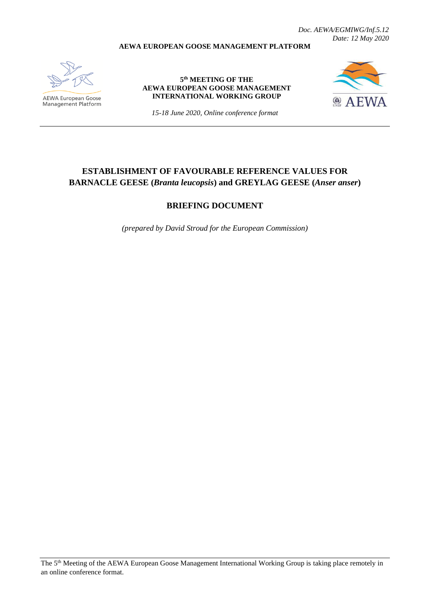*Doc. AEWA/EGMIWG/Inf.5.12 Date: 12 May 2020*

#### **AEWA EUROPEAN GOOSE MANAGEMENT PLATFORM**



**AEWA European Goose** Management Platform

**5 th MEETING OF THE AEWA EUROPEAN GOOSE MANAGEMENT INTERNATIONAL WORKING GROUP**



*15-18 June 2020, Online conference format*

# **ESTABLISHMENT OF FAVOURABLE REFERENCE VALUES FOR BARNACLE GEESE (***Branta leucopsis***) and GREYLAG GEESE (***Anser anser***)**

#### **BRIEFING DOCUMENT**

*(prepared by David Stroud for the European Commission)*

The 5th Meeting of the AEWA European Goose Management International Working Group is taking place remotely in an online conference format.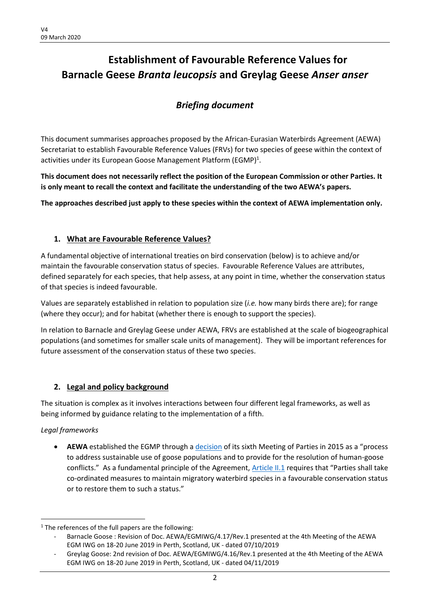# **Establishment of Favourable Reference Values for Barnacle Geese** *Branta leucopsis* **and Greylag Geese** *Anser anser*

# *Briefing document*

This document summarises approaches proposed by the African-Eurasian Waterbirds Agreement (AEWA) Secretariat to establish Favourable Reference Values (FRVs) for two species of geese within the context of activities under its European Goose Management Platform (EGMP)<sup>1</sup>.

**This document does not necessarily reflect the position of the European Commission or other Parties. It is only meant to recall the context and facilitate the understanding of the two AEWA's papers.** 

**The approaches described just apply to these species within the context of AEWA implementation only.**

# **1. What are Favourable Reference Values?**

A fundamental objective of international treaties on bird conservation (below) is to achieve and/or maintain the favourable conservation status of species. Favourable Reference Values are attributes, defined separately for each species, that help assess, at any point in time, whether the conservation status of that species is indeed favourable.

Values are separately established in relation to population size (*i.e.* how many birds there are); for range (where they occur); and for habitat (whether there is enough to support the species).

In relation to Barnacle and Greylag Geese under AEWA, FRVs are established at the scale of biogeographical populations (and sometimes for smaller scale units of management). They will be important references for future assessment of the conservation status of these two species.

# **2. Legal and policy background**

The situation is complex as it involves interactions between four different legal frameworks, as well as being informed by guidance relating to the implementation of a fifth.

## *Legal frameworks*

• **AEWA** established the EGMP through [a decision](https://www.unep-aewa.org/sites/default/files/document/aewa_mop6_res4_cons_sust_use_mwb_en.docx) of its sixth Meeting of Parties in 2015 as a "process to address sustainable use of goose populations and to provide for the resolution of human-goose conflicts." As a fundamental principle of the Agreement, [Article II.1](https://www.unep-aewa.org/sites/default/files/basic_page_documents/agreement_text_english_final.pdf) requires that "Parties shall take co-ordinated measures to maintain migratory waterbird species in a favourable conservation status or to restore them to such a status."

 $1$ <sup>1</sup> The references of the full papers are the following:

Barnacle Goose : Revision of Doc. AEWA/EGMIWG/4.17/Rev.1 presented at the 4th Meeting of the AEWA EGM IWG on 18-20 June 2019 in Perth, Scotland, UK - dated 07/10/2019

<sup>-</sup> Greylag Goose: 2nd revision of Doc. AEWA/EGMIWG/4.16/Rev.1 presented at the 4th Meeting of the AEWA EGM IWG on 18-20 June 2019 in Perth, Scotland, UK - dated 04/11/2019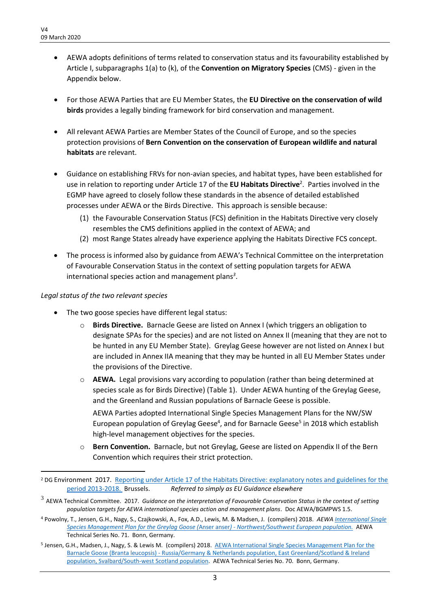- AEWA adopts definitions of terms related to conservation status and its favourability established by Article I, subparagraphs 1(a) to (k), of the **Convention on Migratory Species** (CMS) - given in the Appendix below.
- For those AEWA Parties that are EU Member States, the **EU Directive on the conservation of wild birds** provides a legally binding framework for bird conservation and management.
- All relevant AEWA Parties are Member States of the Council of Europe, and so the species protection provisions of **Bern Convention on the conservation of European wildlife and natural habitats** are relevant.
- Guidance on establishing FRVs for non-avian species, and habitat types, have been established for use in relation to reporting under Article 17 of the **EU Habitats Directive**<sup>2</sup>. Parties involved in the EGMP have agreed to closely follow these standards in the absence of detailed established processes under AEWA or the Birds Directive. This approach is sensible because:
	- (1) the Favourable Conservation Status (FCS) definition in the Habitats Directive very closely resembles the CMS definitions applied in the context of AEWA; and
	- (2) most Range States already have experience applying the Habitats Directive FCS concept.
- The process is informed also by guidance from AEWA's Technical Committee on the interpretation of Favourable Conservation Status in the context of setting population targets for AEWA international species action and management plans*<sup>3</sup>* .

#### *Legal status of the two relevant species*

- The two goose species have different legal status:
	- o **Birds Directive.** Barnacle Geese are listed on Annex I (which triggers an obligation to designate SPAs for the species) and are not listed on Annex II (meaning that they are not to be hunted in any EU Member State). Greylag Geese however are not listed on Annex I but are included in Annex IIA meaning that they may be hunted in all EU Member States under the provisions of the Directive.
	- o **AEWA.** Legal provisions vary according to population (rather than being determined at species scale as for Birds Directive) (Table 1). Under AEWA hunting of the Greylag Geese, and the Greenland and Russian populations of Barnacle Geese is possible.

AEWA Parties adopted International Single Species Management Plans for the NW/SW European population of Greylag Geese<sup>4</sup>, and for Barnacle Geese<sup>5</sup> in 2018 which establish high-level management objectives for the species.

o **Bern Convention.** Barnacle, but not Greylag, Geese are listed on Appendix II of the Bern Convention which requires their strict protection.

<sup>2</sup> DG Environment 2017. [Reporting under Article 17 of the Habitats Directive: explanatory notes and guidelines for the](https://circabc.europa.eu/d/a/workspace/SpacesStore/d0eb5cef-a216-4cad-8e77-6e4839a5471d/Reporting%20guidelines%20Article%2017%20final%20May%202017.pdf)  [period 2013-2018. B](https://circabc.europa.eu/d/a/workspace/SpacesStore/d0eb5cef-a216-4cad-8e77-6e4839a5471d/Reporting%20guidelines%20Article%2017%20final%20May%202017.pdf)russels. *Referred to simply as EU Guidance elsewhere*

<sup>3</sup> AEWA Technical Committee. 2017. *Guidance on the interpretation of Favourable Conservation Status in the context of setting population targets for AEWA international species action and management plans*. Doc AEWA/BGMPWS 1.5.

<sup>4</sup> Powolny, T., Jensen, G.H., Nagy, S., Czajkowski, A., Fox, A.D., Lewis, M. & Madsen, J. (compilers) 2018. *AEWA [International Single](https://www.unep-aewa.org/en/publication/international-single-species-management-plan-greylag-goose-northwestsouthwest-european)  [Species Management Plan for the Greylag Goose \(](https://www.unep-aewa.org/en/publication/international-single-species-management-plan-greylag-goose-northwestsouthwest-european)*Anser anser*) - Northwest/Southwest European population.* AEWA Technical Series No. 71. Bonn, Germany.

<sup>&</sup>lt;sup>5</sup> Jensen, G.H., Madsen, J., Nagy, S. & Lewis M. (compilers) 2018. AEWA International Single Species Management Plan for the Barnacle Goose (Branta leucopsis) - [Russia/Germany & Netherlands population, East Greenland/Scotland & Ireland](https://www.unep-aewa.org/sites/default/files/publication/ts70_issmp_barnacle%20goose_complete.pdf)  [population, Svalbard/South-west Scotland population.](https://www.unep-aewa.org/sites/default/files/publication/ts70_issmp_barnacle%20goose_complete.pdf) AEWA Technical Series No. 70. Bonn, Germany.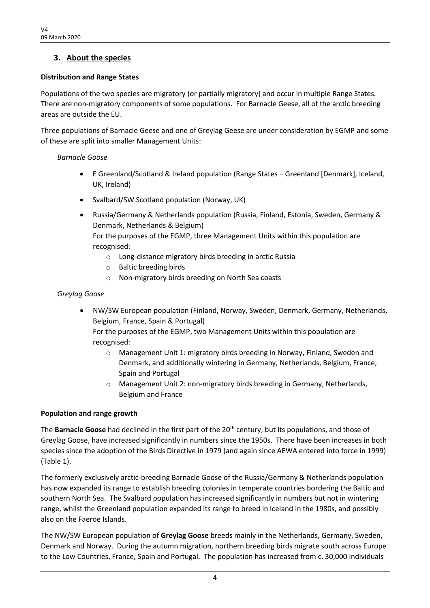## **3. About the species**

### **Distribution and Range States**

Populations of the two species are migratory (or partially migratory) and occur in multiple Range States. There are non-migratory components of some populations. For Barnacle Geese, all of the arctic breeding areas are outside the EU.

Three populations of Barnacle Geese and one of Greylag Geese are under consideration by EGMP and some of these are split into smaller Management Units:

### *Barnacle Goose*

- E Greenland/Scotland & Ireland population (Range States Greenland [Denmark], Iceland, UK, Ireland)
- Svalbard/SW Scotland population (Norway, UK)
- Russia/Germany & Netherlands population (Russia, Finland, Estonia, Sweden, Germany & Denmark, Netherlands & Belgium)

For the purposes of the EGMP, three Management Units within this population are recognised:

- o Long-distance migratory birds breeding in arctic Russia
- o Baltic breeding birds
- o Non-migratory birds breeding on North Sea coasts

### *Greylag Goose*

• NW/SW European population (Finland, Norway, Sweden, Denmark, Germany, Netherlands, Belgium, France, Spain & Portugal)

For the purposes of the EGMP, two Management Units within this population are recognised:

- o Management Unit 1: migratory birds breeding in Norway, Finland, Sweden and Denmark, and additionally wintering in Germany, Netherlands, Belgium, France, Spain and Portugal
- o Management Unit 2: non-migratory birds breeding in Germany, Netherlands, Belgium and France

#### **Population and range growth**

The **Barnacle Goose** had declined in the first part of the 20<sup>th</sup> century, but its populations, and those of Greylag Goose, have increased significantly in numbers since the 1950s. There have been increases in both species since the adoption of the Birds Directive in 1979 (and again since AEWA entered into force in 1999) (Table 1).

The formerly exclusively arctic-breeding Barnacle Goose of the Russia/Germany & Netherlands population has now expanded its range to establish breeding colonies in temperate countries bordering the Baltic and southern North Sea. The Svalbard population has increased significantly in numbers but not in wintering range, whilst the Greenland population expanded its range to breed in Iceland in the 1980s, and possibly also on the Faeroe Islands.

The NW/SW European population of **Greylag Goose** breeds mainly in the Netherlands, Germany, Sweden, Denmark and Norway. During the autumn migration, northern breeding birds migrate south across Europe to the Low Countries, France, Spain and Portugal. The population has increased from c. 30,000 individuals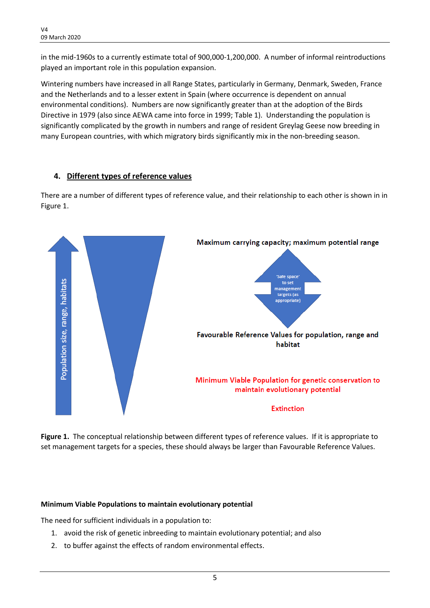in the mid-1960s to a currently estimate total of 900,000-1,200,000. A number of informal reintroductions played an important role in this population expansion.

Wintering numbers have increased in all Range States, particularly in Germany, Denmark, Sweden, France and the Netherlands and to a lesser extent in Spain (where occurrence is dependent on annual environmental conditions). Numbers are now significantly greater than at the adoption of the Birds Directive in 1979 (also since AEWA came into force in 1999; Table 1). Understanding the population is significantly complicated by the growth in numbers and range of resident Greylag Geese now breeding in many European countries, with which migratory birds significantly mix in the non-breeding season.

# **4. Different types of reference values**

There are a number of different types of reference value, and their relationship to each other is shown in in Figure 1.



Figure 1. The conceptual relationship between different types of reference values. If it is appropriate to set management targets for a species, these should always be larger than Favourable Reference Values.

## **Minimum Viable Populations to maintain evolutionary potential**

The need for sufficient individuals in a population to:

- 1. avoid the risk of genetic inbreeding to maintain evolutionary potential; and also
- 2. to buffer against the effects of random environmental effects.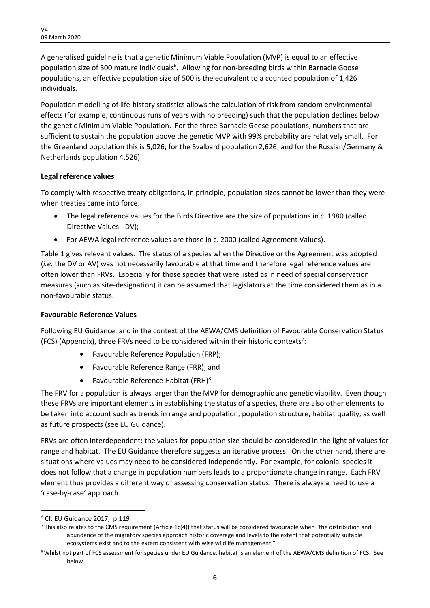A generalised guideline is that a genetic Minimum Viable Population (MVP) is equal to an effective population size of 500 mature individuals<sup>6</sup>. Allowing for non-breeding birds within Barnacle Goose populations, an effective population size of 500 is the equivalent to a counted population of 1,426 individuals.

Population modelling of life-history statistics allows the calculation of risk from random environmental effects (for example, continuous runs of years with no breeding) such that the population declines below the genetic Minimum Viable Population. For the three Barnacle Geese populations, numbers that are sufficient to sustain the population above the genetic MVP with 99% probability are relatively small. For the Greenland population this is 5,026; for the Svalbard population 2,626; and for the Russian/Germany & Netherlands population 4,526).

### **Legal reference values**

To comply with respective treaty obligations, in principle, population sizes cannot be lower than they were when treaties came into force.

- The legal reference values for the Birds Directive are the size of populations in c. 1980 (called Directive Values - DV);
- For AEWA legal reference values are those in c. 2000 (called Agreement Values).

Table 1 gives relevant values. The status of a species when the Directive or the Agreement was adopted (*i.e.* the DV or AV) was not necessarily favourable at that time and therefore legal reference values are often lower than FRVs. Especially for those species that were listed as in need of special conservation measures (such as site-designation) it can be assumed that legislators at the time considered them as in a non-favourable status.

## **Favourable Reference Values**

Following EU Guidance, and in the context of the AEWA/CMS definition of Favourable Conservation Status (FCS) (Appendix), three FRVs need to be considered within their historic contexts 7 :

- Favourable Reference Population (FRP);
- Favourable Reference Range (FRR); and
- Favourable Reference Habitat (FRH)<sup>8</sup>.

The FRV for a population is always larger than the MVP for demographic and genetic viability. Even though these FRVs are important elements in establishing the status of a species, there are also other elements to be taken into account such as trends in range and population, population structure, habitat quality, as well as future prospects (see EU Guidance).

FRVs are often interdependent: the values for population size should be considered in the light of values for range and habitat. The EU Guidance therefore suggests an iterative process. On the other hand, there are situations where values may need to be considered independently. For example, for colonial species it does not follow that a change in population numbers leads to a proportionate change in range. Each FRV element thus provides a different way of assessing conservation status. There is always a need to use a 'case-by-case' approach.

 $6$  Cf. EU Guidance 2017, p.119

 $7$  This also relates to the CMS requirement (Article 1c(4)) that status will be considered favourable when "the distribution and abundance of the migratory species approach historic coverage and levels to the extent that potentially suitable ecosystems exist and to the extent consistent with wise wildlife management;"

<sup>8</sup>Whilst not part of FCS assessment for species under EU Guidance, habitat is an element of the AEWA/CMS definition of FCS. See below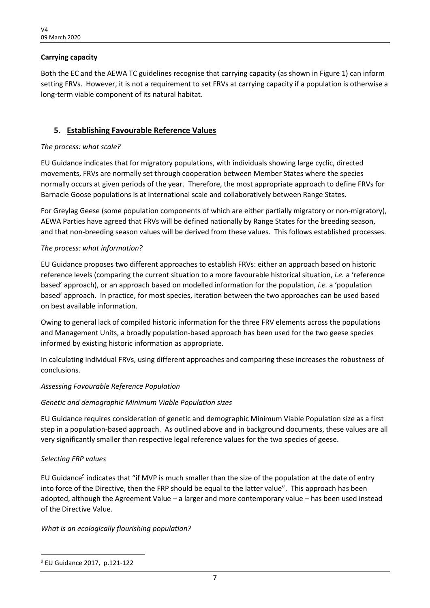### **Carrying capacity**

Both the EC and the AEWA TC guidelines recognise that carrying capacity (as shown in Figure 1) can inform setting FRVs. However, it is not a requirement to set FRVs at carrying capacity if a population is otherwise a long-term viable component of its natural habitat.

## **5. Establishing Favourable Reference Values**

### *The process: what scale?*

EU Guidance indicates that for migratory populations, with individuals showing large cyclic, directed movements, FRVs are normally set through cooperation between Member States where the species normally occurs at given periods of the year. Therefore, the most appropriate approach to define FRVs for Barnacle Goose populations is at international scale and collaboratively between Range States.

For Greylag Geese (some population components of which are either partially migratory or non-migratory), AEWA Parties have agreed that FRVs will be defined nationally by Range States for the breeding season, and that non-breeding season values will be derived from these values. This follows established processes.

### *The process: what information?*

EU Guidance proposes two different approaches to establish FRVs: either an approach based on historic reference levels (comparing the current situation to a more favourable historical situation, *i.e.* a 'reference based' approach), or an approach based on modelled information for the population, *i.e.* a 'population based' approach. In practice, for most species, iteration between the two approaches can be used based on best available information.

Owing to general lack of compiled historic information for the three FRV elements across the populations and Management Units, a broadly population-based approach has been used for the two geese species informed by existing historic information as appropriate.

In calculating individual FRVs, using different approaches and comparing these increases the robustness of conclusions.

#### *Assessing Favourable Reference Population*

#### *Genetic and demographic Minimum Viable Population sizes*

EU Guidance requires consideration of genetic and demographic Minimum Viable Population size as a first step in a population-based approach. As outlined above and in background documents, these values are all very significantly smaller than respective legal reference values for the two species of geese.

#### *Selecting FRP values*

EU Guidance<sup>9</sup> indicates that "if MVP is much smaller than the size of the population at the date of entry into force of the Directive, then the FRP should be equal to the latter value". This approach has been adopted, although the Agreement Value – a larger and more contemporary value – has been used instead of the Directive Value.

*What is an ecologically flourishing population?*

<sup>9</sup> EU Guidance 2017, p.121-122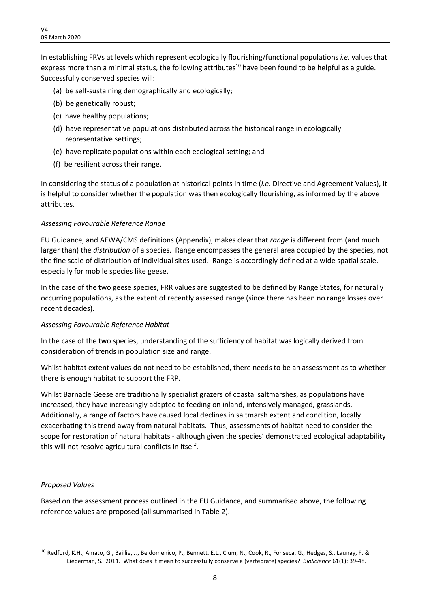In establishing FRVs at levels which represent ecologically flourishing/functional populations *i.e.* values that express more than a minimal status, the following attributes<sup>10</sup> have been found to be helpful as a guide. Successfully conserved species will:

- (a) be self-sustaining demographically and ecologically;
- (b) be genetically robust;
- (c) have healthy populations;
- (d) have representative populations distributed across the historical range in ecologically representative settings;
- (e) have replicate populations within each ecological setting; and
- (f) be resilient across their range.

In considering the status of a population at historical points in time (*i.e.* Directive and Agreement Values), it is helpful to consider whether the population was then ecologically flourishing, as informed by the above attributes.

### *Assessing Favourable Reference Range*

EU Guidance, and AEWA/CMS definitions (Appendix), makes clear that *range* is different from (and much larger than) the *distribution* of a species. Range encompasses the general area occupied by the species, not the fine scale of distribution of individual sites used. Range is accordingly defined at a wide spatial scale, especially for mobile species like geese.

In the case of the two geese species, FRR values are suggested to be defined by Range States, for naturally occurring populations, as the extent of recently assessed range (since there has been no range losses over recent decades).

#### *Assessing Favourable Reference Habitat*

In the case of the two species, understanding of the sufficiency of habitat was logically derived from consideration of trends in population size and range.

Whilst habitat extent values do not need to be established, there needs to be an assessment as to whether there is enough habitat to support the FRP.

Whilst Barnacle Geese are traditionally specialist grazers of coastal saltmarshes, as populations have increased, they have increasingly adapted to feeding on inland, intensively managed, grasslands. Additionally, a range of factors have caused local declines in saltmarsh extent and condition, locally exacerbating this trend away from natural habitats. Thus, assessments of habitat need to consider the scope for restoration of natural habitats - although given the species' demonstrated ecological adaptability this will not resolve agricultural conflicts in itself.

#### *Proposed Values*

Based on the assessment process outlined in the EU Guidance, and summarised above, the following reference values are proposed (all summarised in Table 2).

<sup>&</sup>lt;sup>10</sup> Redford, K.H., Amato, G., Baillie, J., Beldomenico, P., Bennett, E.L., Clum, N., Cook, R., Fonseca, G., Hedges, S., Launay, F. & Lieberman, S. 2011. What does it mean to successfully conserve a (vertebrate) species? *BioScience* 61(1): 39-48.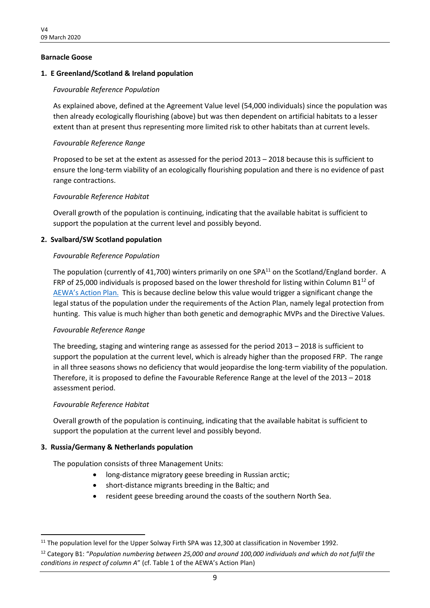#### **Barnacle Goose**

#### **1. E Greenland/Scotland & Ireland population**

#### *Favourable Reference Population*

As explained above, defined at the Agreement Value level (54,000 individuals) since the population was then already ecologically flourishing (above) but was then dependent on artificial habitats to a lesser extent than at present thus representing more limited risk to other habitats than at current levels.

#### *Favourable Reference Range*

Proposed to be set at the extent as assessed for the period 2013 – 2018 because this is sufficient to ensure the long-term viability of an ecologically flourishing population and there is no evidence of past range contractions.

#### *Favourable Reference Habitat*

Overall growth of the population is continuing, indicating that the available habitat is sufficient to support the population at the current level and possibly beyond.

#### **2. Svalbard/SW Scotland population**

#### *Favourable Reference Population*

The population (currently of 41,700) winters primarily on one SPA<sup>11</sup> on the Scotland/England border. A FRP of 25,000 individuals is proposed based on the lower threshold for listing within Column B1<sup>12</sup> of [AEWA's Action Plan](https://www.unep-aewa.org/sites/default/files/basic_page_documents/agreement_text_english_final.pdf). This is because decline below this value would trigger a significant change the legal status of the population under the requirements of the Action Plan, namely legal protection from hunting. This value is much higher than both genetic and demographic MVPs and the Directive Values.

#### *Favourable Reference Range*

The breeding, staging and wintering range as assessed for the period 2013 – 2018 is sufficient to support the population at the current level, which is already higher than the proposed FRP. The range in all three seasons shows no deficiency that would jeopardise the long-term viability of the population. Therefore, it is proposed to define the Favourable Reference Range at the level of the 2013 – 2018 assessment period.

#### *Favourable Reference Habitat*

Overall growth of the population is continuing, indicating that the available habitat is sufficient to support the population at the current level and possibly beyond.

#### **3. Russia/Germany & Netherlands population**

The population consists of three Management Units:

- long-distance migratory geese breeding in Russian arctic;
- short-distance migrants breeding in the Baltic; and
- resident geese breeding around the coasts of the southern North Sea.

<sup>&</sup>lt;sup>11</sup> The population level for the Upper Solway Firth SPA was 12,300 at classification in November 1992.

<sup>12</sup> Category B1: "*Population numbering between 25,000 and around 100,000 individuals and which do not fulfil the conditions in respect of column A*" (cf. Table 1 of the AEWA's Action Plan)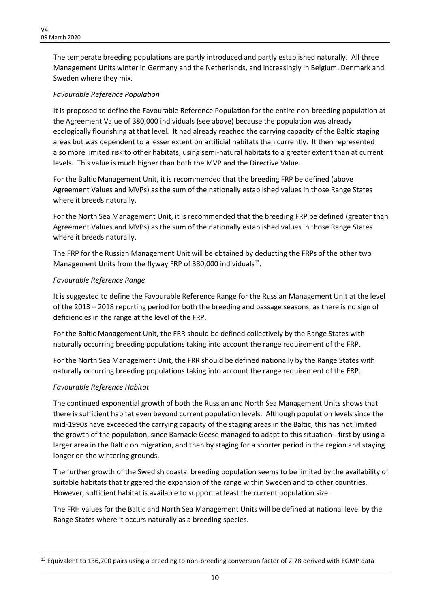The temperate breeding populations are partly introduced and partly established naturally. All three Management Units winter in Germany and the Netherlands, and increasingly in Belgium, Denmark and Sweden where they mix.

#### *Favourable Reference Population*

It is proposed to define the Favourable Reference Population for the entire non-breeding population at the Agreement Value of 380,000 individuals (see above) because the population was already ecologically flourishing at that level. It had already reached the carrying capacity of the Baltic staging areas but was dependent to a lesser extent on artificial habitats than currently. It then represented also more limited risk to other habitats, using semi-natural habitats to a greater extent than at current levels. This value is much higher than both the MVP and the Directive Value.

For the Baltic Management Unit, it is recommended that the breeding FRP be defined (above Agreement Values and MVPs) as the sum of the nationally established values in those Range States where it breeds naturally.

For the North Sea Management Unit, it is recommended that the breeding FRP be defined (greater than Agreement Values and MVPs) as the sum of the nationally established values in those Range States where it breeds naturally.

The FRP for the Russian Management Unit will be obtained by deducting the FRPs of the other two Management Units from the flyway FRP of 380,000 individuals<sup>13</sup>.

#### *Favourable Reference Range*

It is suggested to define the Favourable Reference Range for the Russian Management Unit at the level of the 2013 – 2018 reporting period for both the breeding and passage seasons, as there is no sign of deficiencies in the range at the level of the FRP.

For the Baltic Management Unit, the FRR should be defined collectively by the Range States with naturally occurring breeding populations taking into account the range requirement of the FRP.

For the North Sea Management Unit, the FRR should be defined nationally by the Range States with naturally occurring breeding populations taking into account the range requirement of the FRP.

#### *Favourable Reference Habitat*

The continued exponential growth of both the Russian and North Sea Management Units shows that there is sufficient habitat even beyond current population levels. Although population levels since the mid-1990s have exceeded the carrying capacity of the staging areas in the Baltic, this has not limited the growth of the population, since Barnacle Geese managed to adapt to this situation - first by using a larger area in the Baltic on migration, and then by staging for a shorter period in the region and staying longer on the wintering grounds.

The further growth of the Swedish coastal breeding population seems to be limited by the availability of suitable habitats that triggered the expansion of the range within Sweden and to other countries. However, sufficient habitat is available to support at least the current population size.

The FRH values for the Baltic and North Sea Management Units will be defined at national level by the Range States where it occurs naturally as a breeding species.

<sup>&</sup>lt;sup>13</sup> Equivalent to 136,700 pairs using a breeding to non-breeding conversion factor of 2.78 derived with EGMP data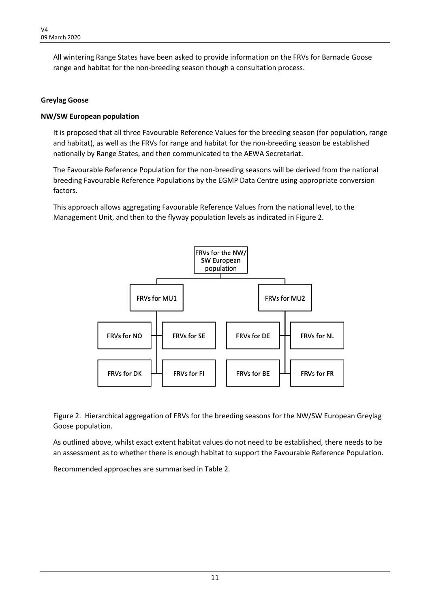All wintering Range States have been asked to provide information on the FRVs for Barnacle Goose range and habitat for the non-breeding season though a consultation process.

### **Greylag Goose**

### **NW/SW European population**

It is proposed that all three Favourable Reference Values for the breeding season (for population, range and habitat), as well as the FRVs for range and habitat for the non-breeding season be established nationally by Range States, and then communicated to the AEWA Secretariat.

The Favourable Reference Population for the non-breeding seasons will be derived from the national breeding Favourable Reference Populations by the EGMP Data Centre using appropriate conversion factors.

This approach allows aggregating Favourable Reference Values from the national level, to the Management Unit, and then to the flyway population levels as indicated in Figure 2.



Figure 2. Hierarchical aggregation of FRVs for the breeding seasons for the NW/SW European Greylag Goose population.

As outlined above, whilst exact extent habitat values do not need to be established, there needs to be an assessment as to whether there is enough habitat to support the Favourable Reference Population.

Recommended approaches are summarised in Table 2.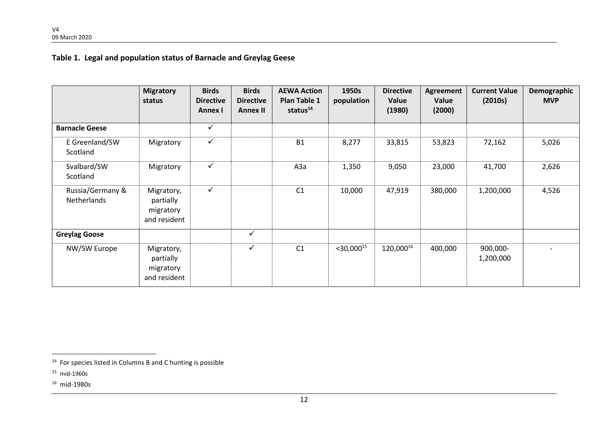# **Table 1. Legal and population status of Barnacle and Greylag Geese**

|                                        | <b>Migratory</b><br>status                           | <b>Birds</b><br><b>Directive</b><br><b>Annex I</b> | <b>Birds</b><br><b>Directive</b><br><b>Annex II</b> | <b>AEWA Action</b><br><b>Plan Table 1</b><br>status <sup>14</sup> | 1950s<br>population | <b>Directive</b><br>Value<br>(1980) | Agreement<br>Value<br>(2000) | <b>Current Value</b><br>(2010s) | Demographic<br><b>MVP</b> |
|----------------------------------------|------------------------------------------------------|----------------------------------------------------|-----------------------------------------------------|-------------------------------------------------------------------|---------------------|-------------------------------------|------------------------------|---------------------------------|---------------------------|
| <b>Barnacle Geese</b>                  |                                                      | $\checkmark$                                       |                                                     |                                                                   |                     |                                     |                              |                                 |                           |
| E Greenland/SW<br>Scotland             | Migratory                                            | $\checkmark$                                       |                                                     | <b>B1</b>                                                         | 8,277               | 33,815                              | 53,823                       | 72,162                          | 5,026                     |
| Svalbard/SW<br>Scotland                | Migratory                                            | $\checkmark$                                       |                                                     | A3a                                                               | 1,350               | 9,050                               | 23,000                       | 41,700                          | 2,626                     |
| Russia/Germany &<br><b>Netherlands</b> | Migratory,<br>partially<br>migratory<br>and resident | $\checkmark$                                       |                                                     | C1                                                                | 10,000              | 47,919                              | 380,000                      | 1,200,000                       | 4,526                     |
| <b>Greylag Goose</b>                   |                                                      |                                                    | $\checkmark$                                        |                                                                   |                     |                                     |                              |                                 |                           |
| NW/SW Europe                           | Migratory,<br>partially<br>migratory<br>and resident |                                                    | $\checkmark$                                        | C1                                                                | $<$ 30,000 $^{15}$  | 120,00016                           | 400,000                      | 900,000-<br>1,200,000           |                           |

<sup>&</sup>lt;sup>14</sup> For species listed in Columns B and C hunting is possible

 $15$  mid-1960s

<sup>16</sup> mid-1980s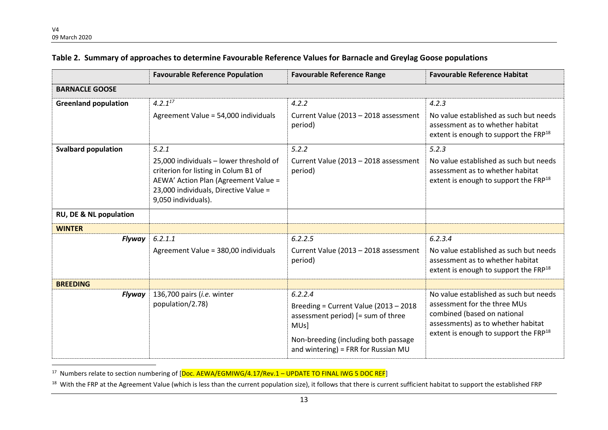|                             | <b>Favourable Reference Population</b>                                                                                                                                                  | <b>Favourable Reference Range</b>                                                                                                                                             | <b>Favourable Reference Habitat</b>                                                                                                                                                              |  |
|-----------------------------|-----------------------------------------------------------------------------------------------------------------------------------------------------------------------------------------|-------------------------------------------------------------------------------------------------------------------------------------------------------------------------------|--------------------------------------------------------------------------------------------------------------------------------------------------------------------------------------------------|--|
| <b>BARNACLE GOOSE</b>       |                                                                                                                                                                                         |                                                                                                                                                                               |                                                                                                                                                                                                  |  |
| <b>Greenland population</b> | $4.2.1^{17}$                                                                                                                                                                            | 4.2.2                                                                                                                                                                         | 4.2.3                                                                                                                                                                                            |  |
|                             | Agreement Value = 54,000 individuals                                                                                                                                                    | Current Value (2013 - 2018 assessment<br>period)                                                                                                                              | No value established as such but needs<br>assessment as to whether habitat<br>extent is enough to support the FRP <sup>18</sup>                                                                  |  |
| <b>Svalbard population</b>  | 5.2.1                                                                                                                                                                                   | 5.2.2                                                                                                                                                                         | 5.2.3                                                                                                                                                                                            |  |
|                             | 25,000 individuals - lower threshold of<br>criterion for listing in Colum B1 of<br>AEWA' Action Plan (Agreement Value =<br>23,000 individuals, Directive Value =<br>9,050 individuals). | Current Value (2013 - 2018 assessment<br>period)                                                                                                                              | No value established as such but needs<br>assessment as to whether habitat<br>extent is enough to support the FRP <sup>18</sup>                                                                  |  |
| RU, DE & NL population      |                                                                                                                                                                                         |                                                                                                                                                                               |                                                                                                                                                                                                  |  |
| <b>WINTER</b>               |                                                                                                                                                                                         |                                                                                                                                                                               |                                                                                                                                                                                                  |  |
| <b>Flyway</b>               | 6.2.1.1                                                                                                                                                                                 | 6.2.2.5                                                                                                                                                                       | 6.2.3.4                                                                                                                                                                                          |  |
|                             | Agreement Value = 380,00 individuals                                                                                                                                                    | Current Value (2013 - 2018 assessment<br>period)                                                                                                                              | No value established as such but needs<br>assessment as to whether habitat<br>extent is enough to support the FRP <sup>18</sup>                                                                  |  |
| <b>BREEDING</b>             |                                                                                                                                                                                         |                                                                                                                                                                               |                                                                                                                                                                                                  |  |
| <b>Flyway</b>               | 136,700 pairs (i.e. winter<br>population/2.78)                                                                                                                                          | 6.2.2.4<br>Breeding = Current Value (2013 - 2018<br>assessment period) [= sum of three<br>MUs]<br>Non-breeding (including both passage<br>and wintering) = FRR for Russian MU | No value established as such but needs<br>assessment for the three MUs<br>combined (based on national<br>assessments) as to whether habitat<br>extent is enough to support the FRP <sup>18</sup> |  |

### **Table 2. Summary of approaches to determine Favourable Reference Values for Barnacle and Greylag Goose populations**

<sup>17</sup> Numbers relate to section numbering of [Doc. AEWA/EGMIWG/4.17/Rev.1 – UPDATE TO FINAL IWG 5 DOC REF]

 $^{18}$  With the FRP at the Agreement Value (which is less than the current population size), it follows that there is current sufficient habitat to support the established FRP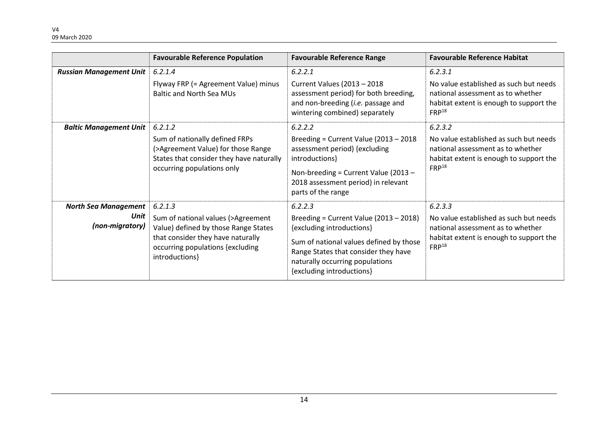|                                                        | <b>Favourable Reference Population</b>                                                                                                                                           | <b>Favourable Reference Range</b>                                                                                                                                                                                                 | <b>Favourable Reference Habitat</b>                                                                                                                    |
|--------------------------------------------------------|----------------------------------------------------------------------------------------------------------------------------------------------------------------------------------|-----------------------------------------------------------------------------------------------------------------------------------------------------------------------------------------------------------------------------------|--------------------------------------------------------------------------------------------------------------------------------------------------------|
| <b>Russian Management Unit</b>                         | 6.2.1.4<br>Flyway FRP (= Agreement Value) minus<br><b>Baltic and North Sea MUs</b>                                                                                               | 6.2.2.1<br>Current Values (2013 - 2018<br>assessment period) for both breeding,<br>and non-breeding (i.e. passage and<br>wintering combined) separately                                                                           | 6.2.3.1<br>No value established as such but needs<br>national assessment as to whether<br>habitat extent is enough to support the<br>$FRP^{18}$        |
| <b>Baltic Management Unit</b>                          | 6.2.1.2<br>Sum of nationally defined FRPs<br>(>Agreement Value) for those Range<br>States that consider they have naturally<br>occurring populations only                        | 6.2.2.2<br>Breeding = Current Value $(2013 - 2018$<br>assessment period) {excluding<br>introductions}<br>Non-breeding = Current Value (2013 -<br>2018 assessment period) in relevant<br>parts of the range                        | 6.2.3.2<br>No value established as such but needs<br>national assessment as to whether<br>habitat extent is enough to support the<br>$FRP^{18}$        |
| <b>North Sea Management</b><br>Unit<br>(non-migratory) | 6.2.1.3<br>Sum of national values (>Agreement<br>Value) defined by those Range States<br>that consider they have naturally<br>occurring populations {excluding<br>introductions} | 6.2.2.3<br>Breeding = Current Value (2013 - 2018)<br>{excluding introductions}<br>Sum of national values defined by those<br>Range States that consider they have<br>naturally occurring populations<br>{excluding introductions} | 6.2.3.3<br>No value established as such but needs<br>national assessment as to whether<br>habitat extent is enough to support the<br>FRP <sup>18</sup> |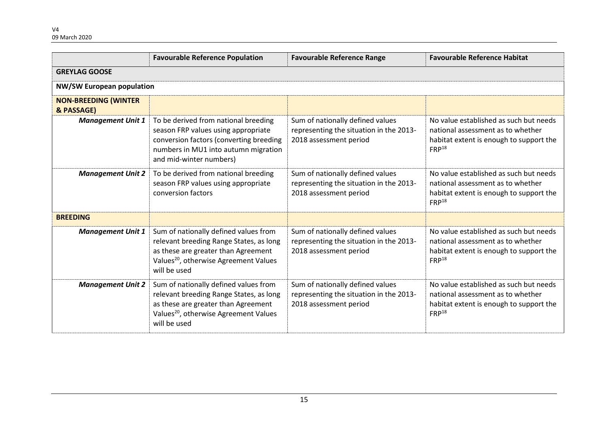|                                           | <b>Favourable Reference Population</b>                                                                                                                                                       | <b>Favourable Reference Range</b>                                                                     | <b>Favourable Reference Habitat</b>                                                                                                         |  |  |
|-------------------------------------------|----------------------------------------------------------------------------------------------------------------------------------------------------------------------------------------------|-------------------------------------------------------------------------------------------------------|---------------------------------------------------------------------------------------------------------------------------------------------|--|--|
| <b>GREYLAG GOOSE</b>                      |                                                                                                                                                                                              |                                                                                                       |                                                                                                                                             |  |  |
| NW/SW European population                 |                                                                                                                                                                                              |                                                                                                       |                                                                                                                                             |  |  |
| <b>NON-BREEDING (WINTER</b><br>& PASSAGE) |                                                                                                                                                                                              |                                                                                                       |                                                                                                                                             |  |  |
| <b>Management Unit 1</b>                  | To be derived from national breeding<br>season FRP values using appropriate<br>conversion factors (converting breeding<br>numbers in MU1 into autumn migration<br>and mid-winter numbers)    | Sum of nationally defined values<br>representing the situation in the 2013-<br>2018 assessment period | No value established as such but needs<br>national assessment as to whether<br>habitat extent is enough to support the<br>FRP <sup>18</sup> |  |  |
| <b>Management Unit 2</b>                  | To be derived from national breeding<br>season FRP values using appropriate<br>conversion factors                                                                                            | Sum of nationally defined values<br>representing the situation in the 2013-<br>2018 assessment period | No value established as such but needs<br>national assessment as to whether<br>habitat extent is enough to support the<br>FRP <sup>18</sup> |  |  |
| <b>BREEDING</b>                           |                                                                                                                                                                                              |                                                                                                       |                                                                                                                                             |  |  |
| <b>Management Unit 1</b>                  | Sum of nationally defined values from<br>relevant breeding Range States, as long<br>as these are greater than Agreement<br>Values <sup>20</sup> , otherwise Agreement Values<br>will be used | Sum of nationally defined values<br>representing the situation in the 2013-<br>2018 assessment period | No value established as such but needs<br>national assessment as to whether<br>habitat extent is enough to support the<br>FRP <sup>18</sup> |  |  |
| <b>Management Unit 2</b>                  | Sum of nationally defined values from<br>relevant breeding Range States, as long<br>as these are greater than Agreement<br>Values <sup>20</sup> , otherwise Agreement Values<br>will be used | Sum of nationally defined values<br>representing the situation in the 2013-<br>2018 assessment period | No value established as such but needs<br>national assessment as to whether<br>habitat extent is enough to support the<br>FRP <sup>18</sup> |  |  |